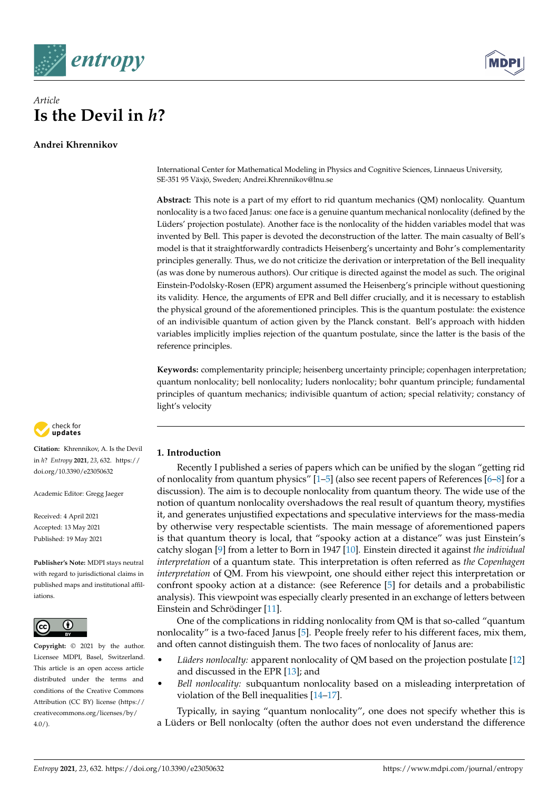

# *Article* **Is the Devil in** *h***?**

**Andrei Khrennikov**



International Center for Mathematical Modeling in Physics and Cognitive Sciences, Linnaeus University, SE-351 95 Växjö, Sweden; Andrei.Khrennikov@lnu.se

**Abstract:** This note is a part of my effort to rid quantum mechanics (QM) nonlocality. Quantum nonlocality is a two faced Janus: one face is a genuine quantum mechanical nonlocality (defined by the Lüders' projection postulate). Another face is the nonlocality of the hidden variables model that was invented by Bell. This paper is devoted the deconstruction of the latter. The main casualty of Bell's model is that it straightforwardly contradicts Heisenberg's uncertainty and Bohr's complementarity principles generally. Thus, we do not criticize the derivation or interpretation of the Bell inequality (as was done by numerous authors). Our critique is directed against the model as such. The original Einstein-Podolsky-Rosen (EPR) argument assumed the Heisenberg's principle without questioning its validity. Hence, the arguments of EPR and Bell differ crucially, and it is necessary to establish the physical ground of the aforementioned principles. This is the quantum postulate: the existence of an indivisible quantum of action given by the Planck constant. Bell's approach with hidden variables implicitly implies rejection of the quantum postulate, since the latter is the basis of the reference principles.

**Keywords:** complementarity principle; heisenberg uncertainty principle; copenhagen interpretation; quantum nonlocality; bell nonlocality; luders nonlocality; bohr quantum principle; fundamental principles of quantum mechanics; indivisible quantum of action; special relativity; constancy of light's velocity



**Citation:** Khrennikov, A. Is the Devil in *h*? *Entropy* **2021**, *23*, 632. [https://](https://doi.org/10.3390/e23050632) [doi.org/10.3390/e23050632](https://doi.org/10.3390/e23050632)

Academic Editor: Gregg Jaeger

Received: 4 April 2021 Accepted: 13 May 2021 Published: 19 May 2021

**Publisher's Note:** MDPI stays neutral with regard to jurisdictional claims in published maps and institutional affiliations.



**Copyright:** © 2021 by the author. Licensee MDPI, Basel, Switzerland. This article is an open access article distributed under the terms and conditions of the Creative Commons Attribution (CC BY) license (https:/[/](https://creativecommons.org/licenses/by/4.0/) [creativecommons.org/licenses/by/](https://creativecommons.org/licenses/by/4.0/)  $4.0/$ ).

# **1. Introduction**

Recently I published a series of papers which can be unified by the slogan "getting rid of nonlocality from quantum physics"  $[1-5]$  $[1-5]$  (also see recent papers of References  $[6-8]$  $[6-8]$  for a discussion). The aim is to decouple nonlocality from quantum theory. The wide use of the notion of quantum nonlocality overshadows the real result of quantum theory, mystifies it, and generates unjustified expectations and speculative interviews for the mass-media by otherwise very respectable scientists. The main message of aforementioned papers is that quantum theory is local, that "spooky action at a distance" was just Einstein's catchy slogan [\[9\]](#page-12-4) from a letter to Born in 1947 [\[10\]](#page-12-5). Einstein directed it against *the individual interpretation* of a quantum state. This interpretation is often referred as *the Copenhagen interpretation* of QM. From his viewpoint, one should either reject this interpretation or confront spooky action at a distance: (see Reference [\[5\]](#page-12-1) for details and a probabilistic analysis). This viewpoint was especially clearly presented in an exchange of letters between Einstein and Schrödinger [\[11\]](#page-12-6).

One of the complications in ridding nonlocality from QM is that so-called "quantum nonlocality" is a two-faced Janus [\[5\]](#page-12-1). People freely refer to his different faces, mix them, and often cannot distinguish them. The two faces of nonlocality of Janus are:

- *Lüders nonlocalty:* apparent nonlocality of QM based on the projection postulate [\[12\]](#page-12-7) and discussed in the EPR [\[13\]](#page-12-8); and
- *Bell nonlocality:* subquantum nonlocality based on a misleading interpretation of violation of the Bell inequalities [\[14–](#page-12-9)[17\]](#page-12-10).

Typically, in saying "quantum nonlocality", one does not specify whether this is a Lüders or Bell nonlocalty (often the author does not even understand the difference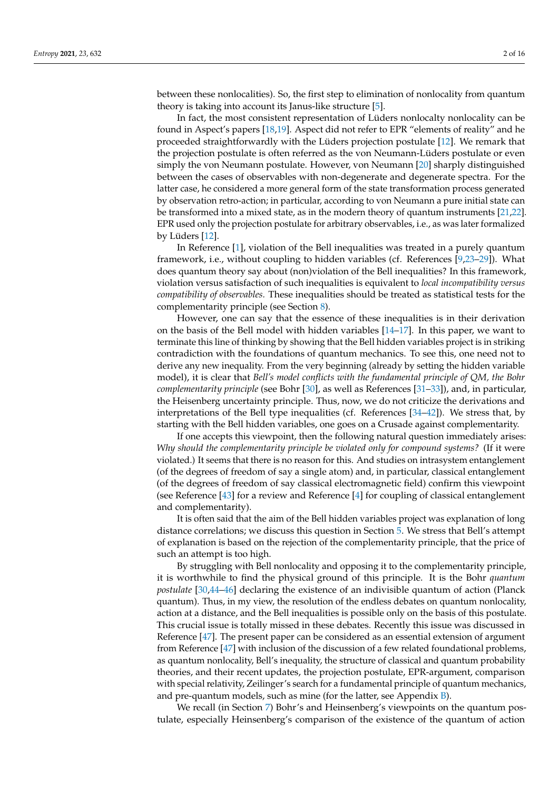between these nonlocalities). So, the first step to elimination of nonlocality from quantum theory is taking into account its Janus-like structure [\[5\]](#page-12-1).

In fact, the most consistent representation of Lüders nonlocalty nonlocality can be found in Aspect's papers [\[18,](#page-12-11)[19\]](#page-12-12). Aspect did not refer to EPR "elements of reality" and he proceeded straightforwardly with the Lüders projection postulate [\[12\]](#page-12-7). We remark that the projection postulate is often referred as the von Neumann-Lüders postulate or even simply the von Neumann postulate. However, von Neumann [\[20\]](#page-13-0) sharply distinguished between the cases of observables with non-degenerate and degenerate spectra. For the latter case, he considered a more general form of the state transformation process generated by observation retro-action; in particular, according to von Neumann a pure initial state can be transformed into a mixed state, as in the modern theory of quantum instruments [\[21](#page-13-1)[,22\]](#page-13-2). EPR used only the projection postulate for arbitrary observables, i.e., as was later formalized by Lüders [\[12\]](#page-12-7).

In Reference [\[1\]](#page-12-0), violation of the Bell inequalities was treated in a purely quantum framework, i.e., without coupling to hidden variables (cf. References [\[9](#page-12-4)[,23–](#page-13-3)[29\]](#page-13-4)). What does quantum theory say about (non)violation of the Bell inequalities? In this framework, violation versus satisfaction of such inequalities is equivalent to *local incompatibility versus compatibility of observables.* These inequalities should be treated as statistical tests for the complementarity principle (see Section [8\)](#page-6-0).

However, one can say that the essence of these inequalities is in their derivation on the basis of the Bell model with hidden variables [\[14](#page-12-9)[–17\]](#page-12-10). In this paper, we want to terminate this line of thinking by showing that the Bell hidden variables project is in striking contradiction with the foundations of quantum mechanics. To see this, one need not to derive any new inequality. From the very beginning (already by setting the hidden variable model), it is clear that *Bell's model conflicts with the fundamental principle of QM, the Bohr complementarity principle* (see Bohr [\[30\]](#page-13-5), as well as References [\[31–](#page-13-6)[33\]](#page-13-7)), and, in particular, the Heisenberg uncertainty principle. Thus, now, we do not criticize the derivations and interpretations of the Bell type inequalities (cf. References [\[34](#page-13-8)[–42\]](#page-13-9)). We stress that, by starting with the Bell hidden variables, one goes on a Crusade against complementarity.

If one accepts this viewpoint, then the following natural question immediately arises: *Why should the complementarity principle be violated only for compound systems?* (If it were violated.) It seems that there is no reason for this. And studies on intrasystem entanglement (of the degrees of freedom of say a single atom) and, in particular, classical entanglement (of the degrees of freedom of say classical electromagnetic field) confirm this viewpoint (see Reference [\[43\]](#page-13-10) for a review and Reference [\[4\]](#page-12-13) for coupling of classical entanglement and complementarity).

It is often said that the aim of the Bell hidden variables project was explanation of long distance correlations; we discuss this question in Section [5.](#page-5-0) We stress that Bell's attempt of explanation is based on the rejection of the complementarity principle, that the price of such an attempt is too high.

By struggling with Bell nonlocality and opposing it to the complementarity principle, it is worthwhile to find the physical ground of this principle. It is the Bohr *quantum postulate* [\[30,](#page-13-5)[44–](#page-13-11)[46\]](#page-13-12) declaring the existence of an indivisible quantum of action (Planck quantum). Thus, in my view, the resolution of the endless debates on quantum nonlocality, action at a distance, and the Bell inequalities is possible only on the basis of this postulate. This crucial issue is totally missed in these debates. Recently this issue was discussed in Reference [\[47\]](#page-13-13). The present paper can be considered as an essential extension of argument from Reference [\[47\]](#page-13-13) with inclusion of the discussion of a few related foundational problems, as quantum nonlocality, Bell's inequality, the structure of classical and quantum probability theories, and their recent updates, the projection postulate, EPR-argument, comparison with special relativity, Zeilinger's search for a fundamental principle of quantum mechanics, and pre-quantum models, such as mine (for the latter, see Appendix  $B$ ).

We recall (in Section [7\)](#page-5-1) Bohr's and Heinsenberg's viewpoints on the quantum postulate, especially Heinsenberg's comparison of the existence of the quantum of action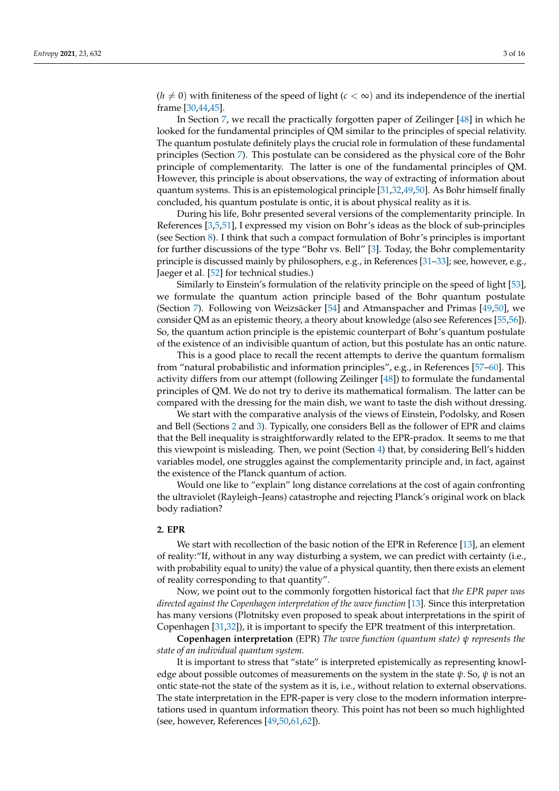$(h \neq 0)$  with finiteness of the speed of light ( $c < \infty$ ) and its independence of the inertial frame [\[30](#page-13-5)[,44](#page-13-11)[,45\]](#page-13-14).

In Section [7,](#page-5-1) we recall the practically forgotten paper of Zeilinger [\[48\]](#page-13-15) in which he looked for the fundamental principles of QM similar to the principles of special relativity. The quantum postulate definitely plays the crucial role in formulation of these fundamental principles (Section [7\)](#page-5-1). This postulate can be considered as the physical core of the Bohr principle of complementarity. The latter is one of the fundamental principles of QM. However, this principle is about observations, the way of extracting of information about quantum systems. This is an epistemological principle [\[31,](#page-13-6)[32,](#page-13-16)[49](#page-13-17)[,50\]](#page-13-18). As Bohr himself finally concluded, his quantum postulate is ontic, it is about physical reality as it is.

During his life, Bohr presented several versions of the complementarity principle. In References [\[3](#page-12-14)[,5,](#page-12-1)[51\]](#page-13-19), I expressed my vision on Bohr's ideas as the block of sub-principles (see Section [8\)](#page-6-0). I think that such a compact formulation of Bohr's principles is important for further discussions of the type "Bohr vs. Bell" [\[3\]](#page-12-14). Today, the Bohr complementarity principle is discussed mainly by philosophers, e.g., in References [\[31](#page-13-6)[–33\]](#page-13-7); see, however, e.g., Jaeger et al. [\[52\]](#page-13-20) for technical studies.)

Similarly to Einstein's formulation of the relativity principle on the speed of light [\[53\]](#page-13-21), we formulate the quantum action principle based of the Bohr quantum postulate (Section [7\)](#page-5-1). Following von Weizsäcker [\[54\]](#page-13-22) and Atmanspacher and Primas [\[49,](#page-13-17)[50\]](#page-13-18), we consider QM as an epistemic theory, a theory about knowledge (also see References [\[55,](#page-13-23)[56\]](#page-13-24)). So, the quantum action principle is the epistemic counterpart of Bohr's quantum postulate of the existence of an indivisible quantum of action, but this postulate has an ontic nature.

This is a good place to recall the recent attempts to derive the quantum formalism from "natural probabilistic and information principles", e.g., in References [\[57–](#page-13-25)[60\]](#page-14-0). This activity differs from our attempt (following Zeilinger [\[48\]](#page-13-15)) to formulate the fundamental principles of QM. We do not try to derive its mathematical formalism. The latter can be compared with the dressing for the main dish, we want to taste the dish without dressing.

We start with the comparative analysis of the views of Einstein, Podolsky, and Rosen and Bell (Sections [2](#page-2-0) and [3\)](#page-4-0). Typically, one considers Bell as the follower of EPR and claims that the Bell inequality is straightforwardly related to the EPR-pradox. It seems to me that this viewpoint is misleading. Then, we point (Section [4\)](#page-4-1) that, by considering Bell's hidden variables model, one struggles against the complementarity principle and, in fact, against the existence of the Planck quantum of action.

Would one like to "explain" long distance correlations at the cost of again confronting the ultraviolet (Rayleigh–Jeans) catastrophe and rejecting Planck's original work on black body radiation?

#### <span id="page-2-0"></span>**2. EPR**

We start with recollection of the basic notion of the EPR in Reference [\[13\]](#page-12-8), an element of reality:"If, without in any way disturbing a system, we can predict with certainty (i.e., with probability equal to unity) the value of a physical quantity, then there exists an element of reality corresponding to that quantity".

Now, we point out to the commonly forgotten historical fact that *the EPR paper was directed against the Copenhagen interpretation of the wave function* [\[13\]](#page-12-8). Since this interpretation has many versions (Plotnitsky even proposed to speak about interpretations in the spirit of Copenhagen [\[31](#page-13-6)[,32\]](#page-13-16)), it is important to specify the EPR treatment of this interpretation.

**Copenhagen interpretation** (EPR) *The wave function (quantum state) ψ represents the state of an individual quantum system.*

It is important to stress that "state" is interpreted epistemically as representing knowledge about possible outcomes of measurements on the system in the state *ψ*. So, *ψ* is not an ontic state-not the state of the system as it is, i.e., without relation to external observations. The state interpretation in the EPR-paper is very close to the modern information interpretations used in quantum information theory. This point has not been so much highlighted (see, however, References [\[49](#page-13-17)[,50](#page-13-18)[,61](#page-14-1)[,62\]](#page-14-2)).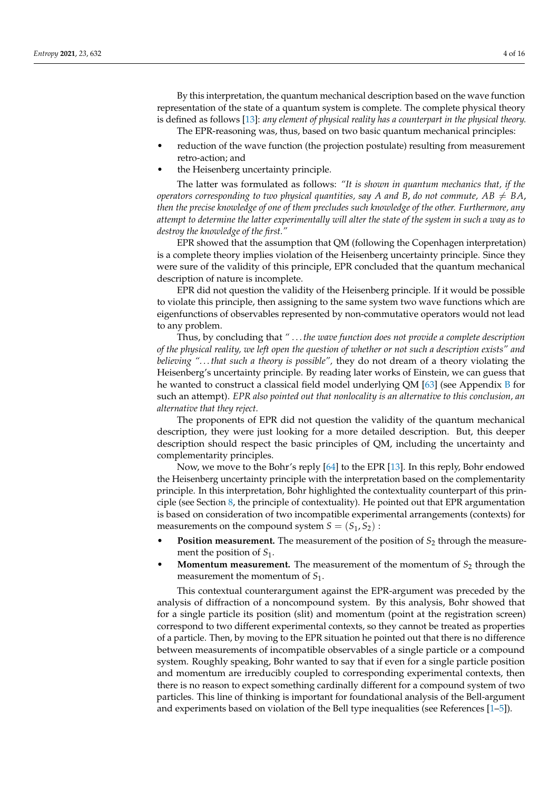By this interpretation, the quantum mechanical description based on the wave function representation of the state of a quantum system is complete. The complete physical theory is defined as follows [\[13\]](#page-12-8): *any element of physical reality has a counterpart in the physical theory.* The EPR-reasoning was, thus, based on two basic quantum mechanical principles:

- reduction of the wave function (the projection postulate) resulting from measurement retro-action; and
- the Heisenberg uncertainty principle.

The latter was formulated as follows: *"It is shown in quantum mechanics that, if the operators corresponding to two physical quantities, say A* and *B*, *do not commute*,  $AB \neq BA$ , *then the precise knowledge of one of them precludes such knowledge of the other. Furthermore, any attempt to determine the latter experimentally will alter the state of the system in such a way as to destroy the knowledge of the first."*

EPR showed that the assumption that QM (following the Copenhagen interpretation) is a complete theory implies violation of the Heisenberg uncertainty principle. Since they were sure of the validity of this principle, EPR concluded that the quantum mechanical description of nature is incomplete.

EPR did not question the validity of the Heisenberg principle. If it would be possible to violate this principle, then assigning to the same system two wave functions which are eigenfunctions of observables represented by non-commutative operators would not lead to any problem.

Thus, by concluding that *" . . . the wave function does not provide a complete description of the physical reality, we left open the question of whether or not such a description exists" and believing ". . . that such a theory is possible",* they do not dream of a theory violating the Heisenberg's uncertainty principle. By reading later works of Einstein, we can guess that he wanted to construct a classical field model underlying QM [\[63\]](#page-14-3) (see Appendix [B](#page-11-0) for such an attempt). *EPR also pointed out that nonlocality is an alternative to this conclusion, an alternative that they reject.*

The proponents of EPR did not question the validity of the quantum mechanical description, they were just looking for a more detailed description. But, this deeper description should respect the basic principles of QM, including the uncertainty and complementarity principles.

Now, we move to the Bohr's reply [\[64\]](#page-14-4) to the EPR [\[13\]](#page-12-8). In this reply, Bohr endowed the Heisenberg uncertainty principle with the interpretation based on the complementarity principle. In this interpretation, Bohr highlighted the contextuality counterpart of this principle (see Section [8,](#page-6-0) the principle of contextuality). He pointed out that EPR argumentation is based on consideration of two incompatible experimental arrangements (contexts) for measurements on the compound system  $S = (S_1, S_2)$ :

- **Position measurement.** The measurement of the position of  $S<sub>2</sub>$  through the measurement the position of *S*1.
- **Momentum measurement.** The measurement of the momentum of  $S_2$  through the measurement the momentum of  $S_1$ .

This contextual counterargument against the EPR-argument was preceded by the analysis of diffraction of a noncompound system. By this analysis, Bohr showed that for a single particle its position (slit) and momentum (point at the registration screen) correspond to two different experimental contexts, so they cannot be treated as properties of a particle. Then, by moving to the EPR situation he pointed out that there is no difference between measurements of incompatible observables of a single particle or a compound system. Roughly speaking, Bohr wanted to say that if even for a single particle position and momentum are irreducibly coupled to corresponding experimental contexts, then there is no reason to expect something cardinally different for a compound system of two particles. This line of thinking is important for foundational analysis of the Bell-argument and experiments based on violation of the Bell type inequalities (see References [\[1–](#page-12-0)[5\]](#page-12-1)).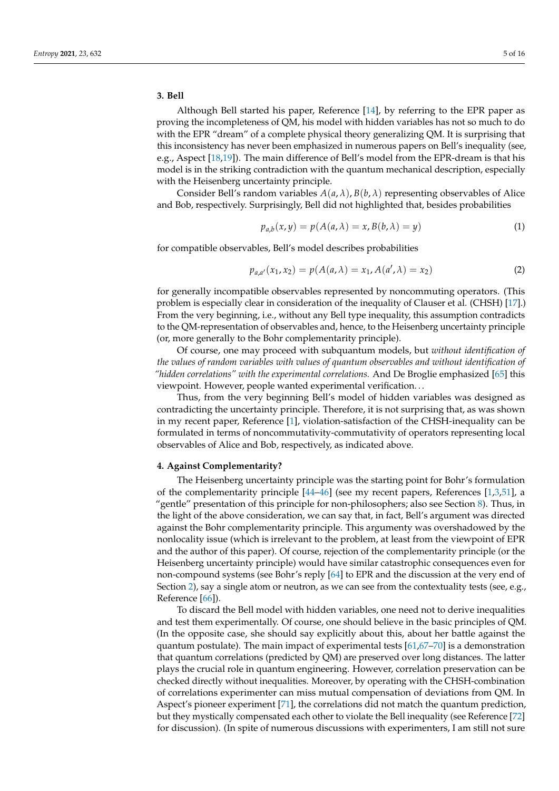#### <span id="page-4-0"></span>**3. Bell**

Although Bell started his paper, Reference [\[14\]](#page-12-9), by referring to the EPR paper as proving the incompleteness of QM, his model with hidden variables has not so much to do with the EPR "dream" of a complete physical theory generalizing QM. It is surprising that this inconsistency has never been emphasized in numerous papers on Bell's inequality (see, e.g., Aspect [\[18](#page-12-11)[,19\]](#page-12-12)). The main difference of Bell's model from the EPR-dream is that his model is in the striking contradiction with the quantum mechanical description, especially with the Heisenberg uncertainty principle.

Consider Bell's random variables  $A(a, \lambda)$ ,  $B(b, \lambda)$  representing observables of Alice and Bob, respectively. Surprisingly, Bell did not highlighted that, besides probabilities

$$
p_{a,b}(x,y) = p(A(a,\lambda) = x, B(b,\lambda) = y)
$$
\n(1)

for compatible observables, Bell's model describes probabilities

$$
p_{a,a'}(x_1, x_2) = p(A(a, \lambda) = x_1, A(a', \lambda) = x_2)
$$
\n(2)

for generally incompatible observables represented by noncommuting operators. (This problem is especially clear in consideration of the inequality of Clauser et al. (CHSH) [\[17\]](#page-12-10).) From the very beginning, i.e., without any Bell type inequality, this assumption contradicts to the QM-representation of observables and, hence, to the Heisenberg uncertainty principle (or, more generally to the Bohr complementarity principle).

Of course, one may proceed with subquantum models, but *without identification of the values of random variables with values of quantum observables and without identification of "hidden correlations" with the experimental correlations.* And De Broglie emphasized [\[65\]](#page-14-5) this viewpoint. However, people wanted experimental verification. . .

Thus, from the very beginning Bell's model of hidden variables was designed as contradicting the uncertainty principle. Therefore, it is not surprising that, as was shown in my recent paper, Reference [\[1\]](#page-12-0), violation-satisfaction of the CHSH-inequality can be formulated in terms of noncommutativity-commutativity of operators representing local observables of Alice and Bob, respectively, as indicated above.

### <span id="page-4-1"></span>**4. Against Complementarity?**

The Heisenberg uncertainty principle was the starting point for Bohr's formulation of the complementarity principle  $[44–46]$  $[44–46]$  (see my recent papers, References [\[1](#page-12-0)[,3](#page-12-14)[,51\]](#page-13-19), a "gentle" presentation of this principle for non-philosophers; also see Section [8\)](#page-6-0). Thus, in the light of the above consideration, we can say that, in fact, Bell's argument was directed against the Bohr complementarity principle. This argumenty was overshadowed by the nonlocality issue (which is irrelevant to the problem, at least from the viewpoint of EPR and the author of this paper). Of course, rejection of the complementarity principle (or the Heisenberg uncertainty principle) would have similar catastrophic consequences even for non-compound systems (see Bohr's reply [\[64\]](#page-14-4) to EPR and the discussion at the very end of Section [2\)](#page-2-0), say a single atom or neutron, as we can see from the contextuality tests (see, e.g., Reference [\[66\]](#page-14-6)).

To discard the Bell model with hidden variables, one need not to derive inequalities and test them experimentally. Of course, one should believe in the basic principles of QM. (In the opposite case, she should say explicitly about this, about her battle against the quantum postulate). The main impact of experimental tests  $[61,67-70]$  $[61,67-70]$  $[61,67-70]$  is a demonstration that quantum correlations (predicted by QM) are preserved over long distances. The latter plays the crucial role in quantum engineering. However, correlation preservation can be checked directly without inequalities. Moreover, by operating with the CHSH-combination of correlations experimenter can miss mutual compensation of deviations from QM. In Aspect's pioneer experiment [\[71\]](#page-14-9), the correlations did not match the quantum prediction, but they mystically compensated each other to violate the Bell inequality (see Reference [\[72\]](#page-14-10) for discussion). (In spite of numerous discussions with experimenters, I am still not sure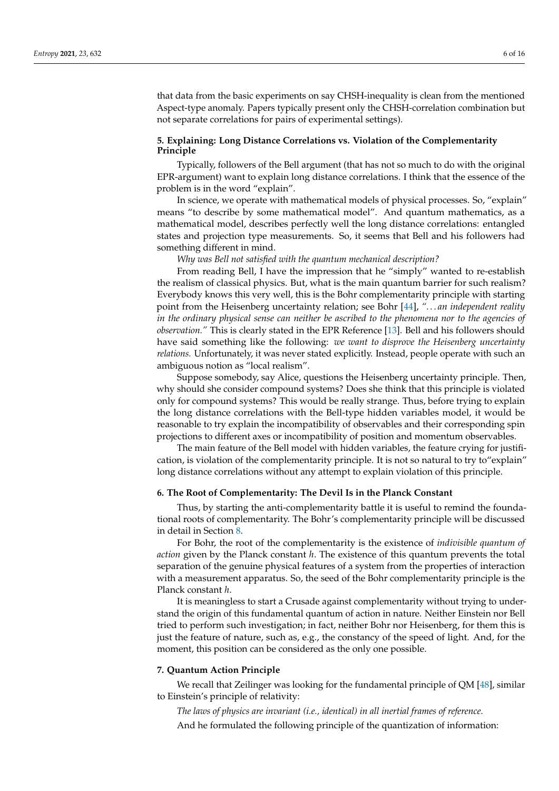that data from the basic experiments on say CHSH-inequality is clean from the mentioned Aspect-type anomaly. Papers typically present only the CHSH-correlation combination but not separate correlations for pairs of experimental settings).

### <span id="page-5-0"></span>**5. Explaining: Long Distance Correlations vs. Violation of the Complementarity Principle**

Typically, followers of the Bell argument (that has not so much to do with the original EPR-argument) want to explain long distance correlations. I think that the essence of the problem is in the word "explain".

In science, we operate with mathematical models of physical processes. So, "explain" means "to describe by some mathematical model". And quantum mathematics, as a mathematical model, describes perfectly well the long distance correlations: entangled states and projection type measurements. So, it seems that Bell and his followers had something different in mind.

*Why was Bell not satisfied with the quantum mechanical description?*

From reading Bell, I have the impression that he "simply" wanted to re-establish the realism of classical physics. But, what is the main quantum barrier for such realism? Everybody knows this very well, this is the Bohr complementarity principle with starting point from the Heisenberg uncertainty relation; see Bohr [\[44\]](#page-13-11), *". . . an independent reality in the ordinary physical sense can neither be ascribed to the phenomena nor to the agencies of observation."* This is clearly stated in the EPR Reference [\[13\]](#page-12-8). Bell and his followers should have said something like the following: *we want to disprove the Heisenberg uncertainty relations.* Unfortunately, it was never stated explicitly. Instead, people operate with such an ambiguous notion as "local realism".

Suppose somebody, say Alice, questions the Heisenberg uncertainty principle. Then, why should she consider compound systems? Does she think that this principle is violated only for compound systems? This would be really strange. Thus, before trying to explain the long distance correlations with the Bell-type hidden variables model, it would be reasonable to try explain the incompatibility of observables and their corresponding spin projections to different axes or incompatibility of position and momentum observables.

The main feature of the Bell model with hidden variables, the feature crying for justification, is violation of the complementarity principle. It is not so natural to try to"explain" long distance correlations without any attempt to explain violation of this principle.

#### **6. The Root of Complementarity: The Devil Is in the Planck Constant**

Thus, by starting the anti-complementarity battle it is useful to remind the foundational roots of complementarity. The Bohr's complementarity principle will be discussed in detail in Section [8.](#page-6-0)

For Bohr, the root of the complementarity is the existence of *indivisible quantum of action* given by the Planck constant *h*. The existence of this quantum prevents the total separation of the genuine physical features of a system from the properties of interaction with a measurement apparatus. So, the seed of the Bohr complementarity principle is the Planck constant *h*.

It is meaningless to start a Crusade against complementarity without trying to understand the origin of this fundamental quantum of action in nature. Neither Einstein nor Bell tried to perform such investigation; in fact, neither Bohr nor Heisenberg, for them this is just the feature of nature, such as, e.g., the constancy of the speed of light. And, for the moment, this position can be considered as the only one possible.

#### <span id="page-5-1"></span>**7. Quantum Action Principle**

We recall that Zeilinger was looking for the fundamental principle of QM [\[48\]](#page-13-15), similar to Einstein's principle of relativity:

*The laws of physics are invariant (i.e., identical) in all inertial frames of reference.* And he formulated the following principle of the quantization of information: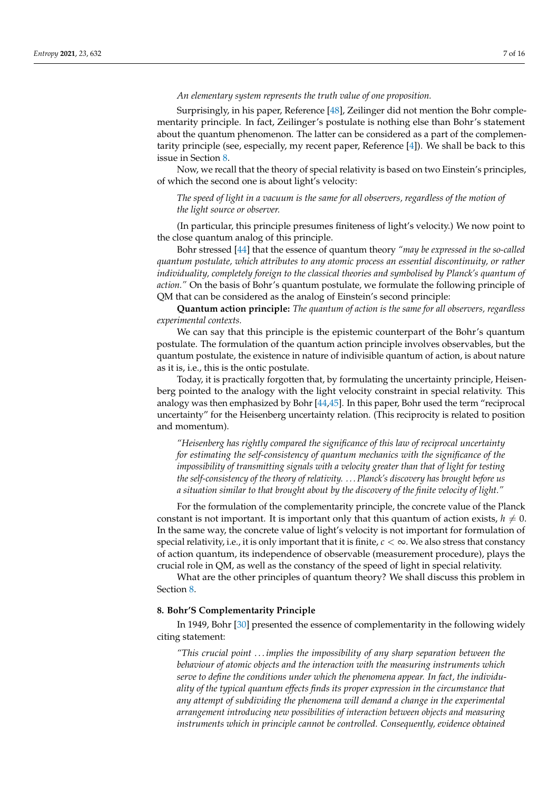#### *An elementary system represents the truth value of one proposition.*

Surprisingly, in his paper, Reference [\[48\]](#page-13-15), Zeilinger did not mention the Bohr complementarity principle. In fact, Zeilinger's postulate is nothing else than Bohr's statement about the quantum phenomenon. The latter can be considered as a part of the complementarity principle (see, especially, my recent paper, Reference [\[4\]](#page-12-13)). We shall be back to this issue in Section [8.](#page-6-0)

Now, we recall that the theory of special relativity is based on two Einstein's principles, of which the second one is about light's velocity:

*The speed of light in a vacuum is the same for all observers, regardless of the motion of the light source or observer.*

(In particular, this principle presumes finiteness of light's velocity.) We now point to the close quantum analog of this principle.

Bohr stressed [\[44\]](#page-13-11) that the essence of quantum theory *"may be expressed in the so-called quantum postulate, which attributes to any atomic process an essential discontinuity, or rather individuality, completely foreign to the classical theories and symbolised by Planck's quantum of action."* On the basis of Bohr's quantum postulate, we formulate the following principle of QM that can be considered as the analog of Einstein's second principle:

**Quantum action principle:** *The quantum of action is the same for all observers, regardless experimental contexts.*

We can say that this principle is the epistemic counterpart of the Bohr's quantum postulate. The formulation of the quantum action principle involves observables, but the quantum postulate, the existence in nature of indivisible quantum of action, is about nature as it is, i.e., this is the ontic postulate.

Today, it is practically forgotten that, by formulating the uncertainty principle, Heisenberg pointed to the analogy with the light velocity constraint in special relativity. This analogy was then emphasized by Bohr [\[44](#page-13-11)[,45\]](#page-13-14). In this paper, Bohr used the term "reciprocal uncertainty" for the Heisenberg uncertainty relation. (This reciprocity is related to position and momentum).

*"Heisenberg has rightly compared the significance of this law of reciprocal uncertainty for estimating the self-consistency of quantum mechanics with the significance of the impossibility of transmitting signals with a velocity greater than that of light for testing the self-consistency of the theory of relativity. . . . Planck's discovery has brought before us a situation similar to that brought about by the discovery of the finite velocity of light."*

For the formulation of the complementarity principle, the concrete value of the Planck constant is not important. It is important only that this quantum of action exists,  $h \neq 0$ . In the same way, the concrete value of light's velocity is not important for formulation of special relativity, i.e., it is only important that it is finite,  $c < \infty$ . We also stress that constancy of action quantum, its independence of observable (measurement procedure), plays the crucial role in QM, as well as the constancy of the speed of light in special relativity.

What are the other principles of quantum theory? We shall discuss this problem in Section [8.](#page-6-0)

#### <span id="page-6-0"></span>**8. Bohr'S Complementarity Principle**

In 1949, Bohr [\[30\]](#page-13-5) presented the essence of complementarity in the following widely citing statement:

*"This crucial point . . . implies the impossibility of any sharp separation between the behaviour of atomic objects and the interaction with the measuring instruments which serve to define the conditions under which the phenomena appear. In fact, the individuality of the typical quantum effects finds its proper expression in the circumstance that any attempt of subdividing the phenomena will demand a change in the experimental arrangement introducing new possibilities of interaction between objects and measuring instruments which in principle cannot be controlled. Consequently, evidence obtained*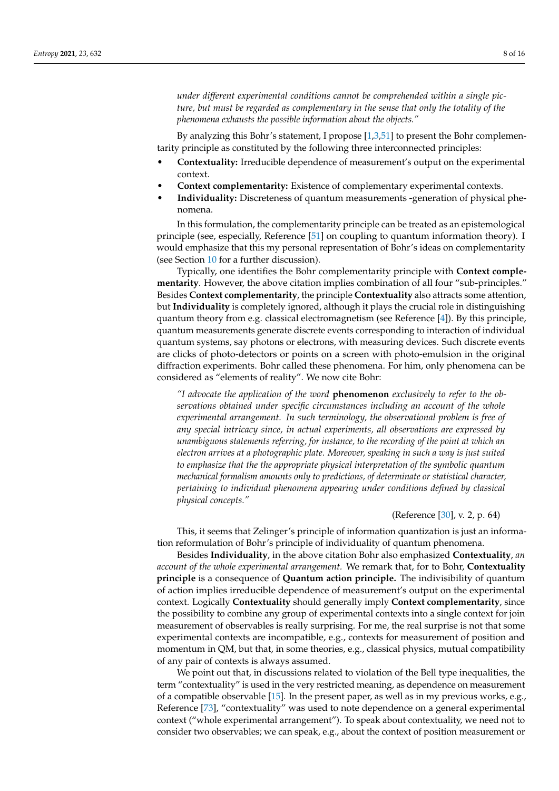*under different experimental conditions cannot be comprehended within a single picture, but must be regarded as complementary in the sense that only the totality of the phenomena exhausts the possible information about the objects."*

By analyzing this Bohr's statement, I propose [\[1,](#page-12-0)[3,](#page-12-14)[51\]](#page-13-19) to present the Bohr complementarity principle as constituted by the following three interconnected principles:

- **Contextuality:** Irreducible dependence of measurement's output on the experimental context.
- **Context complementarity:** Existence of complementary experimental contexts.
- **Individuality:** Discreteness of quantum measurements -generation of physical phenomena.

In this formulation, the complementarity principle can be treated as an epistemological principle (see, especially, Reference [\[51\]](#page-13-19) on coupling to quantum information theory). I would emphasize that this my personal representation of Bohr's ideas on complementarity (see Section [10](#page-8-0) for a further discussion).

Typically, one identifies the Bohr complementarity principle with **Context complementarity**. However, the above citation implies combination of all four "sub-principles." Besides **Context complementarity**, the principle **Contextuality** also attracts some attention, but **Individuality** is completely ignored, although it plays the crucial role in distinguishing quantum theory from e.g. classical electromagnetism (see Reference [\[4\]](#page-12-13)). By this principle, quantum measurements generate discrete events corresponding to interaction of individual quantum systems, say photons or electrons, with measuring devices. Such discrete events are clicks of photo-detectors or points on a screen with photo-emulsion in the original diffraction experiments. Bohr called these phenomena. For him, only phenomena can be considered as "elements of reality". We now cite Bohr:

*"I advocate the application of the word* **phenomenon** *exclusively to refer to the observations obtained under specific circumstances including an account of the whole experimental arrangement. In such terminology, the observational problem is free of any special intricacy since, in actual experiments, all observations are expressed by unambiguous statements referring, for instance, to the recording of the point at which an electron arrives at a photographic plate. Moreover, speaking in such a way is just suited to emphasize that the the appropriate physical interpretation of the symbolic quantum mechanical formalism amounts only to predictions, of determinate or statistical character, pertaining to individual phenomena appearing under conditions defined by classical physical concepts."*

#### (Reference [\[30\]](#page-13-5), v. 2, p. 64)

This, it seems that Zelinger's principle of information quantization is just an information reformulation of Bohr's principle of individuality of quantum phenomena.

Besides **Individuality**, in the above citation Bohr also emphasized **Contextuality**, *an account of the whole experimental arrangement.* We remark that, for to Bohr, **Contextuality principle** is a consequence of **Quantum action principle.** The indivisibility of quantum of action implies irreducible dependence of measurement's output on the experimental context. Logically **Contextuality** should generally imply **Context complementarity**, since the possibility to combine any group of experimental contexts into a single context for join measurement of observables is really surprising. For me, the real surprise is not that some experimental contexts are incompatible, e.g., contexts for measurement of position and momentum in QM, but that, in some theories, e.g., classical physics, mutual compatibility of any pair of contexts is always assumed.

We point out that, in discussions related to violation of the Bell type inequalities, the term "contextuality" is used in the very restricted meaning, as dependence on measurement of a compatible observable [\[15\]](#page-12-15). In the present paper, as well as in my previous works, e.g., Reference [\[73\]](#page-14-11), "contextuality" was used to note dependence on a general experimental context ("whole experimental arrangement"). To speak about contextuality, we need not to consider two observables; we can speak, e.g., about the context of position measurement or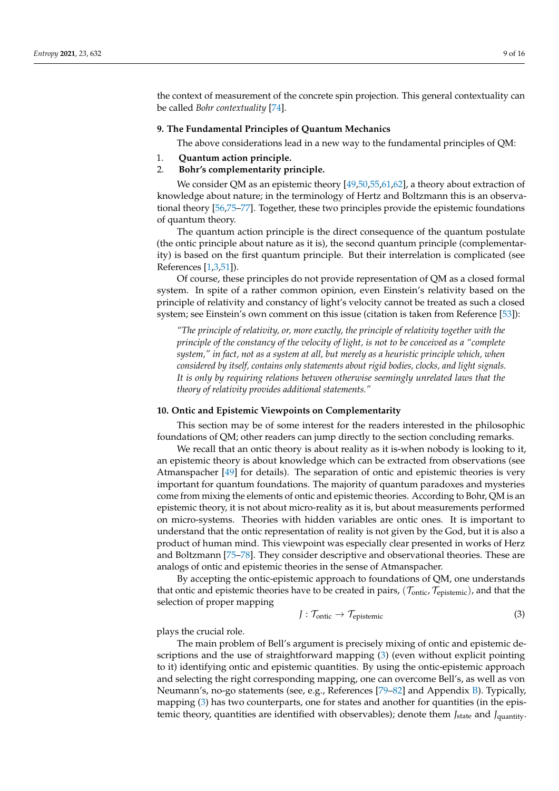the context of measurement of the concrete spin projection. This general contextuality can be called *Bohr contextuality* [\[74\]](#page-14-12).

#### **9. The Fundamental Principles of Quantum Mechanics**

The above considerations lead in a new way to the fundamental principles of QM:

1. **Quantum action principle.**

#### 2. **Bohr's complementarity principle.**

We consider QM as an epistemic theory [\[49,](#page-13-17)[50,](#page-13-18)[55,](#page-13-23)[61,](#page-14-1)[62\]](#page-14-2), a theory about extraction of knowledge about nature; in the terminology of Hertz and Boltzmann this is an observational theory [\[56,](#page-13-24)[75–](#page-14-13)[77\]](#page-14-14). Together, these two principles provide the epistemic foundations of quantum theory.

The quantum action principle is the direct consequence of the quantum postulate (the ontic principle about nature as it is), the second quantum principle (complementarity) is based on the first quantum principle. But their interrelation is complicated (see References [\[1](#page-12-0)[,3](#page-12-14)[,51\]](#page-13-19)).

Of course, these principles do not provide representation of QM as a closed formal system. In spite of a rather common opinion, even Einstein's relativity based on the principle of relativity and constancy of light's velocity cannot be treated as such a closed system; see Einstein's own comment on this issue (citation is taken from Reference [\[53\]](#page-13-21)):

*"The principle of relativity, or, more exactly, the principle of relativity together with the principle of the constancy of the velocity of light, is not to be conceived as a "complete system," in fact, not as a system at all, but merely as a heuristic principle which, when considered by itself, contains only statements about rigid bodies, clocks, and light signals. It is only by requiring relations between otherwise seemingly unrelated laws that the theory of relativity provides additional statements."*

#### <span id="page-8-0"></span>**10. Ontic and Epistemic Viewpoints on Complementarity**

This section may be of some interest for the readers interested in the philosophic foundations of QM; other readers can jump directly to the section concluding remarks.

We recall that an ontic theory is about reality as it is-when nobody is looking to it, an epistemic theory is about knowledge which can be extracted from observations (see Atmanspacher [\[49\]](#page-13-17) for details). The separation of ontic and epistemic theories is very important for quantum foundations. The majority of quantum paradoxes and mysteries come from mixing the elements of ontic and epistemic theories. According to Bohr, QM is an epistemic theory, it is not about micro-reality as it is, but about measurements performed on micro-systems. Theories with hidden variables are ontic ones. It is important to understand that the ontic representation of reality is not given by the God, but it is also a product of human mind. This viewpoint was especially clear presented in works of Herz and Boltzmann [\[75](#page-14-13)[–78\]](#page-14-15). They consider descriptive and observational theories. These are analogs of ontic and epistemic theories in the sense of Atmanspacher.

By accepting the ontic-epistemic approach to foundations of QM, one understands that ontic and epistemic theories have to be created in pairs,  $(\mathcal{T}_{\text{ontic}}, \mathcal{T}_{\text{epistemic}})$ , and that the selection of proper mapping

<span id="page-8-1"></span>
$$
J: \mathcal{T}_{\text{onto}} \to \mathcal{T}_{\text{epistemic}} \tag{3}
$$

plays the crucial role.

The main problem of Bell's argument is precisely mixing of ontic and epistemic descriptions and the use of straightforward mapping [\(3\)](#page-8-1) (even without explicit pointing to it) identifying ontic and epistemic quantities. By using the ontic-epistemic approach and selecting the right corresponding mapping, one can overcome Bell's, as well as von Neumann's, no-go statements (see, e.g., References [\[79](#page-14-16)[–82\]](#page-14-17) and Appendix [B\)](#page-11-0). Typically, mapping [\(3\)](#page-8-1) has two counterparts, one for states and another for quantities (in the epistemic theory, quantities are identified with observables); denote them *J*<sub>state</sub> and *J*<sub>quantity</sub>.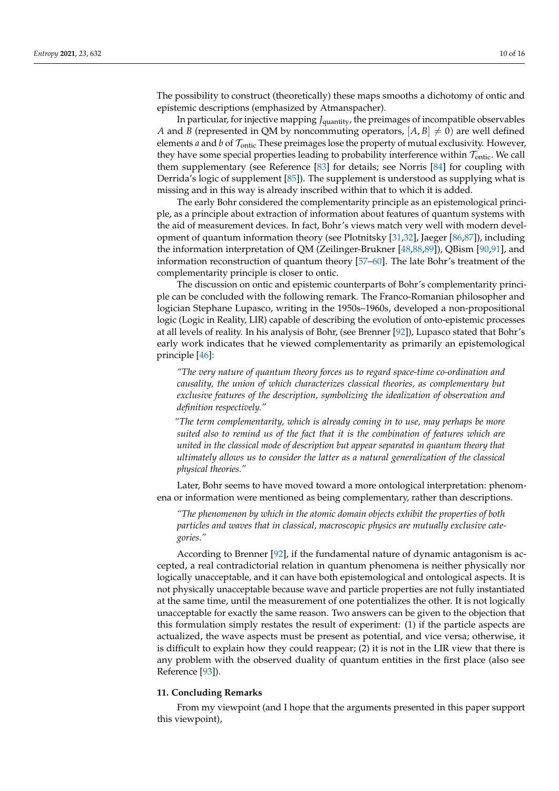The possibility to construct (theoretically) these maps smooths a dichotomy of ontic and epistemic descriptions (emphasized by Atmanspacher).

In particular, for injective mapping *J*<sub>quantity</sub>, the preimages of incompatible observables *A* and *B* (represented in QM by noncommuting operators,  $[A, B] \neq 0$ ) are well defined elements *a* and *b* of Tontic These preimages lose the property of mutual exclusivity. However, they have some special properties leading to probability interference within  $\mathcal{T}_{\text{onto}}$ . We call them supplementary (see Reference [\[83\]](#page-14-18) for details; see Norris [\[84\]](#page-14-19) for coupling with Derrida's logic of supplement [\[85\]](#page-14-20)). The supplement is understood as supplying what is missing and in this way is already inscribed within that to which it is added.

The early Bohr considered the complementarity principle as an epistemological principle, as a principle about extraction of information about features of quantum systems with the aid of measurement devices. In fact, Bohr's views match very well with modern development of quantum information theory (see Plotnitsky [\[31,](#page-13-6)[32\]](#page-13-16), Jaeger [\[86,](#page-14-21)[87\]](#page-14-22)), including the information interpretation of QM (Zeilinger-Brukner [\[48](#page-13-15)[,88](#page-14-23)[,89\]](#page-14-24)), QBism [\[90](#page-14-25)[,91\]](#page-14-26), and information reconstruction of quantum theory [\[57–](#page-13-25)[60\]](#page-14-0). The late Bohr's treatment of the complementarity principle is closer to ontic.

The discussion on ontic and epistemic counterparts of Bohr's complementarity principle can be concluded with the following remark. The Franco-Romanian philosopher and logician Stephane Lupasco, writing in the 1950s–1960s, developed a non-propositional logic (Logic in Reality, LIR) capable of describing the evolution of onto-epistemic processes at all levels of reality. In his analysis of Bohr, (see Brenner [\[92\]](#page-14-27)), Lupasco stated that Bohr's early work indicates that he viewed complementarity as primarily an epistemological principle [\[46\]](#page-13-12):

*"The very nature of quantum theory forces us to regard space-time co-ordination and causality, the union of which characterizes classical theories, as complementary but exclusive features of the description, symbolizing the idealization of observation and definition respectively."*

*"The term complementarity, which is already coming in to use, may perhaps be more suited also to remind us of the fact that it is the combination of features which are united in the classical mode of description but appear separated in quantum theory that ultimately allows us to consider the latter as a natural generalization of the classical physical theories."*

Later, Bohr seems to have moved toward a more ontological interpretation: phenomena or information were mentioned as being complementary, rather than descriptions.

*"The phenomenon by which in the atomic domain objects exhibit the properties of both particles and waves that in classical, macroscopic physics are mutually exclusive categories."*

According to Brenner [\[92\]](#page-14-27), if the fundamental nature of dynamic antagonism is accepted, a real contradictorial relation in quantum phenomena is neither physically nor logically unacceptable, and it can have both epistemological and ontological aspects. It is not physically unacceptable because wave and particle properties are not fully instantiated at the same time, until the measurement of one potentializes the other. It is not logically unacceptable for exactly the same reason. Two answers can be given to the objection that this formulation simply restates the result of experiment: (1) if the particle aspects are actualized, the wave aspects must be present as potential, and vice versa; otherwise, it is difficult to explain how they could reappear; (2) it is not in the LIR view that there is any problem with the observed duality of quantum entities in the first place (also see Reference [\[93\]](#page-14-28)).

### **11. Concluding Remarks**

From my viewpoint (and I hope that the arguments presented in this paper support this viewpoint),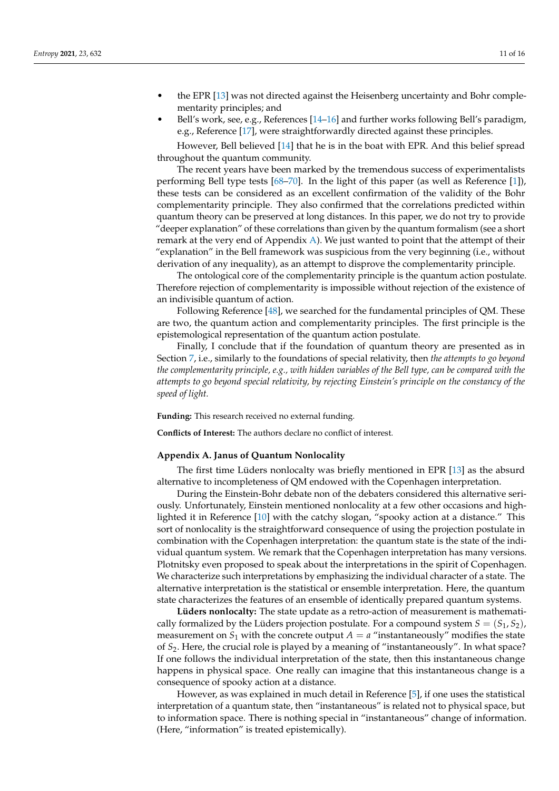- the EPR [\[13\]](#page-12-8) was not directed against the Heisenberg uncertainty and Bohr complementarity principles; and
- Bell's work, see, e.g., References [\[14](#page-12-9)[–16\]](#page-12-16) and further works following Bell's paradigm, e.g., Reference [\[17\]](#page-12-10), were straightforwardly directed against these principles.

However, Bell believed [\[14\]](#page-12-9) that he is in the boat with EPR. And this belief spread throughout the quantum community.

The recent years have been marked by the tremendous success of experimentalists performing Bell type tests [\[68](#page-14-29)[–70\]](#page-14-8). In the light of this paper (as well as Reference [\[1\]](#page-12-0)), these tests can be considered as an excellent confirmation of the validity of the Bohr complementarity principle. They also confirmed that the correlations predicted within quantum theory can be preserved at long distances. In this paper, we do not try to provide "deeper explanation" of these correlations than given by the quantum formalism (see a short remark at the very end of Appendix [A\)](#page-10-0). We just wanted to point that the attempt of their "explanation" in the Bell framework was suspicious from the very beginning (i.e., without derivation of any inequality), as an attempt to disprove the complementarity principle.

The ontological core of the complementarity principle is the quantum action postulate. Therefore rejection of complementarity is impossible without rejection of the existence of an indivisible quantum of action.

Following Reference [\[48\]](#page-13-15), we searched for the fundamental principles of QM. These are two, the quantum action and complementarity principles. The first principle is the epistemological representation of the quantum action postulate.

Finally, I conclude that if the foundation of quantum theory are presented as in Section [7,](#page-5-1) i.e., similarly to the foundations of special relativity, then *the attempts to go beyond the complementarity principle, e.g., with hidden variables of the Bell type, can be compared with the attempts to go beyond special relativity, by rejecting Einstein's principle on the constancy of the speed of light.*

**Funding:** This research received no external funding.

**Conflicts of Interest:** The authors declare no conflict of interest.

#### <span id="page-10-0"></span>**Appendix A. Janus of Quantum Nonlocality**

The first time Lüders nonlocalty was briefly mentioned in EPR [\[13\]](#page-12-8) as the absurd alternative to incompleteness of QM endowed with the Copenhagen interpretation.

During the Einstein-Bohr debate non of the debaters considered this alternative seriously. Unfortunately, Einstein mentioned nonlocality at a few other occasions and highlighted it in Reference [\[10\]](#page-12-5) with the catchy slogan, "spooky action at a distance." This sort of nonlocality is the straightforward consequence of using the projection postulate in combination with the Copenhagen interpretation: the quantum state is the state of the individual quantum system. We remark that the Copenhagen interpretation has many versions. Plotnitsky even proposed to speak about the interpretations in the spirit of Copenhagen. We characterize such interpretations by emphasizing the individual character of a state. The alternative interpretation is the statistical or ensemble interpretation. Here, the quantum state characterizes the features of an ensemble of identically prepared quantum systems.

**Lüders nonlocalty:** The state update as a retro-action of measurement is mathematically formalized by the Lüders projection postulate. For a compound system  $S = (S_1, S_2)$ , measurement on  $S_1$  with the concrete output  $A = a$  "instantaneously" modifies the state of *S*2. Here, the crucial role is played by a meaning of "instantaneously". In what space? If one follows the individual interpretation of the state, then this instantaneous change happens in physical space. One really can imagine that this instantaneous change is a consequence of spooky action at a distance.

However, as was explained in much detail in Reference [\[5\]](#page-12-1), if one uses the statistical interpretation of a quantum state, then "instantaneous" is related not to physical space, but to information space. There is nothing special in "instantaneous" change of information. (Here, "information" is treated epistemically).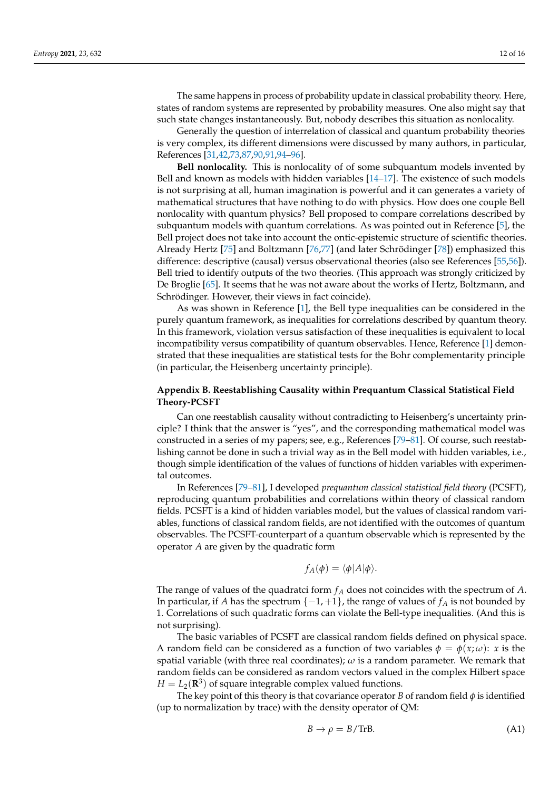The same happens in process of probability update in classical probability theory. Here, states of random systems are represented by probability measures. One also might say that such state changes instantaneously. But, nobody describes this situation as nonlocality.

Generally the question of interrelation of classical and quantum probability theories is very complex, its different dimensions were discussed by many authors, in particular, References [\[31,](#page-13-6)[42](#page-13-9)[,73,](#page-14-11)[87,](#page-14-22)[90,](#page-14-25)[91,](#page-14-26)[94](#page-15-0)[–96\]](#page-15-1).

**Bell nonlocality.** This is nonlocality of of some subquantum models invented by Bell and known as models with hidden variables [\[14](#page-12-9)[–17\]](#page-12-10). The existence of such models is not surprising at all, human imagination is powerful and it can generates a variety of mathematical structures that have nothing to do with physics. How does one couple Bell nonlocality with quantum physics? Bell proposed to compare correlations described by subquantum models with quantum correlations. As was pointed out in Reference [\[5\]](#page-12-1), the Bell project does not take into account the ontic-epistemic structure of scientific theories. Already Hertz [\[75\]](#page-14-13) and Boltzmann [\[76,](#page-14-30)[77\]](#page-14-14) (and later Schrödinger [\[78\]](#page-14-15)) emphasized this difference: descriptive (causal) versus observational theories (also see References [\[55](#page-13-23)[,56\]](#page-13-24)). Bell tried to identify outputs of the two theories. (This approach was strongly criticized by De Broglie [\[65\]](#page-14-5). It seems that he was not aware about the works of Hertz, Boltzmann, and Schrödinger. However, their views in fact coincide).

As was shown in Reference [\[1\]](#page-12-0), the Bell type inequalities can be considered in the purely quantum framework, as inequalities for correlations described by quantum theory. In this framework, violation versus satisfaction of these inequalities is equivalent to local incompatibility versus compatibility of quantum observables. Hence, Reference [\[1\]](#page-12-0) demonstrated that these inequalities are statistical tests for the Bohr complementarity principle (in particular, the Heisenberg uncertainty principle).

## <span id="page-11-0"></span>**Appendix B. Reestablishing Causality within Prequantum Classical Statistical Field Theory-PCSFT**

Can one reestablish causality without contradicting to Heisenberg's uncertainty principle? I think that the answer is "yes", and the corresponding mathematical model was constructed in a series of my papers; see, e.g., References [\[79](#page-14-16)[–81\]](#page-14-31). Of course, such reestablishing cannot be done in such a trivial way as in the Bell model with hidden variables, i.e., though simple identification of the values of functions of hidden variables with experimental outcomes.

In References [\[79](#page-14-16)[–81\]](#page-14-31), I developed *prequantum classical statistical field theory* (PCSFT), reproducing quantum probabilities and correlations within theory of classical random fields. PCSFT is a kind of hidden variables model, but the values of classical random variables, functions of classical random fields, are not identified with the outcomes of quantum observables. The PCSFT-counterpart of a quantum observable which is represented by the operator *A* are given by the quadratic form

$$
f_A(\phi) = \langle \phi | A | \phi \rangle.
$$

The range of values of the quadratci form *f<sup>A</sup>* does not coincides with the spectrum of *A*. In particular, if *A* has the spectrum  $\{-1, +1\}$ , the range of values of  $f_A$  is not bounded by 1. Correlations of such quadratic forms can violate the Bell-type inequalities. (And this is not surprising).

The basic variables of PCSFT are classical random fields defined on physical space. A random field can be considered as a function of two variables  $\phi = \phi(x; \omega)$ : *x* is the spatial variable (with three real coordinates); *ω* is a random parameter. We remark that random fields can be considered as random vectors valued in the complex Hilbert space  $H = L_2(\mathbf{R}^3)$  of square integrable complex valued functions.

The key point of this theory is that covariance operator *B* of random field  $\phi$  is identified (up to normalization by trace) with the density operator of QM:

$$
B \to \rho = B/\text{Tr}B. \tag{A1}
$$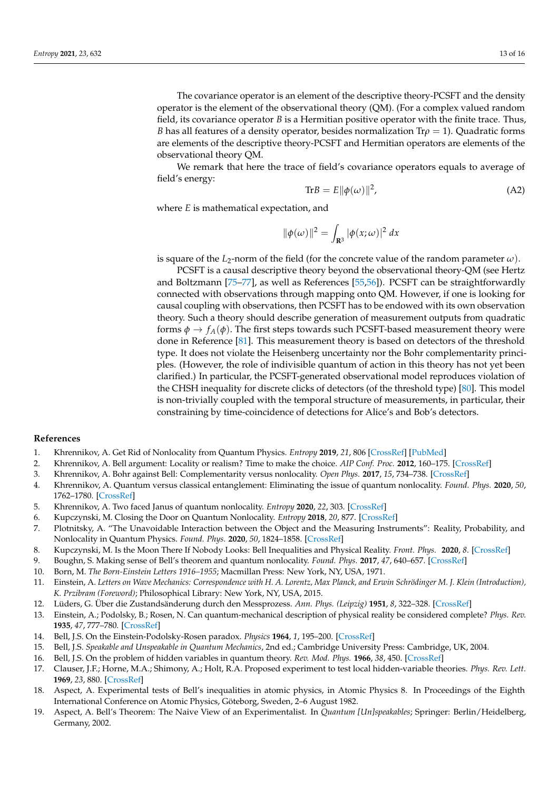The covariance operator is an element of the descriptive theory-PCSFT and the density operator is the element of the observational theory (QM). (For a complex valued random field, its covariance operator *B* is a Hermitian positive operator with the finite trace. Thus, *B* has all features of a density operator, besides normalization Tr*ρ* = 1). Quadratic forms are elements of the descriptive theory-PCSFT and Hermitian operators are elements of the observational theory QM.

We remark that here the trace of field's covariance operators equals to average of field's energy:

$$
\text{Tr}B = E \|\phi(\omega)\|^2,\tag{A2}
$$

where *E* is mathematical expectation, and

$$
\|\phi(\omega)\|^2 = \int_{\mathbf{R}^3} |\phi(x;\omega)|^2 dx
$$

is square of the  $L_2$ -norm of the field (for the concrete value of the random parameter  $\omega$ ).

PCSFT is a causal descriptive theory beyond the observational theory-QM (see Hertz and Boltzmann [\[75–](#page-14-13)[77\]](#page-14-14), as well as References [\[55,](#page-13-23)[56\]](#page-13-24)). PCSFT can be straightforwardly connected with observations through mapping onto QM. However, if one is looking for causal coupling with observations, then PCSFT has to be endowed with its own observation theory. Such a theory should describe generation of measurement outputs from quadratic forms  $\phi \to f_A(\phi)$ . The first steps towards such PCSFT-based measurement theory were done in Reference [\[81\]](#page-14-31). This measurement theory is based on detectors of the threshold type. It does not violate the Heisenberg uncertainty nor the Bohr complementarity principles. (However, the role of indivisible quantum of action in this theory has not yet been clarified.) In particular, the PCSFT-generated observational model reproduces violation of the CHSH inequality for discrete clicks of detectors (of the threshold type) [\[80\]](#page-14-32). This model is non-trivially coupled with the temporal structure of measurements, in particular, their constraining by time-coincidence of detections for Alice's and Bob's detectors.

#### **References**

- <span id="page-12-0"></span>1. Khrennikov, A. Get Rid of Nonlocality from Quantum Physics. *Entropy* **2019**, *21*, 806 [\[CrossRef\]](http://doi.org/10.3390/e21080806) [\[PubMed\]](http://www.ncbi.nlm.nih.gov/pubmed/33267519)
- 2. Khrennikov, A. Bell argument: Locality or realism? Time to make the choice. *AIP Conf. Proc.* **2012**, 160–175. [\[CrossRef\]](http://dx.doi.org/10.1063/1.3688967)
- <span id="page-12-14"></span>3. Khrennikov, A. Bohr against Bell: Complementarity versus nonlocality. *Open Phys.* **2017**, *15*, 734–738. [\[CrossRef\]](http://dx.doi.org/10.1515/phys-2017-0086)
- <span id="page-12-13"></span>4. Khrennikov, A. Quantum versus classical entanglement: Eliminating the issue of quantum nonlocality. *Found. Phys.* **2020**, *50*, 1762–1780. [\[CrossRef\]](http://dx.doi.org/10.1007/s10701-020-00319-7)
- <span id="page-12-1"></span>5. Khrennikov, A. Two faced Janus of quantum nonlocality. *Entropy* **2020**, *22*, 303. [\[CrossRef\]](http://dx.doi.org/10.3390/e22030303)
- <span id="page-12-2"></span>6. Kupczynski, M. Closing the Door on Quantum Nonlocality. *Entropy* **2018**, *20*, 877. [\[CrossRef\]](http://dx.doi.org/10.3390/e20110877)
- 7. Plotnitsky, A. "The Unavoidable Interaction between the Object and the Measuring Instruments": Reality, Probability, and Nonlocality in Quantum Physics. *Found. Phys.* **2020**, *50*, 1824–1858. [\[CrossRef\]](http://dx.doi.org/10.1007/s10701-020-00353-5)
- <span id="page-12-3"></span>8. Kupczynski, M. Is the Moon There If Nobody Looks: Bell Inequalities and Physical Reality. *Front. Phys.* **2020**, *8*. [\[CrossRef\]](http://dx.doi.org/10.3389/fphy.2020.00273)
- <span id="page-12-4"></span>9. Boughn, S. Making sense of Bell's theorem and quantum nonlocality. *Found. Phys.* **2017**, *47*, 640–657. [\[CrossRef\]](http://dx.doi.org/10.1007/s10701-017-0083-6)
- <span id="page-12-5"></span>10. Born, M. *The Born-Einstein Letters 1916–1955*; Macmillan Press: New York, NY, USA, 1971.
- <span id="page-12-6"></span>11. Einstein, A. *Letters on Wave Mechanics: Correspondence with H. A. Lorentz, Max Planck, and Erwin Schrödinger M. J. Klein (Introduction), K. Przibram (Foreword)*; Philosophical Library: New York, NY, USA, 2015.
- <span id="page-12-7"></span>12. Lüders, G. Über die Zustandsänderung durch den Messprozess. *Ann. Phys. (Leipzig)* **1951**, *8*, 322–328. [\[CrossRef\]](http://dx.doi.org/10.1002/andp.19504430510)
- <span id="page-12-8"></span>13. Einstein, A.; Podolsky, B.; Rosen, N. Can quantum-mechanical description of physical reality be considered complete? *Phys. Rev.* **1935**, *47*, 777–780. [\[CrossRef\]](http://dx.doi.org/10.1103/PhysRev.47.777)
- <span id="page-12-9"></span>14. Bell, J.S. On the Einstein-Podolsky-Rosen paradox. *Physics* **1964**, *1*, 195–200. [\[CrossRef\]](http://dx.doi.org/10.1103/PhysicsPhysiqueFizika.1.195)
- <span id="page-12-15"></span>15. Bell, J.S. *Speakable and Unspeakable in Quantum Mechanics*, 2nd ed.; Cambridge University Press: Cambridge, UK, 2004.
- <span id="page-12-16"></span><span id="page-12-10"></span>16. Bell, J.S. On the problem of hidden variables in quantum theory. *Rev. Mod. Phys.* **1966**, *38*, 450. [\[CrossRef\]](http://dx.doi.org/10.1103/RevModPhys.38.447)
- 17. Clauser, J.F.; Horne, M.A.; Shimony, A.; Holt, R.A. Proposed experiment to test local hidden-variable theories. *Phys. Rev. Lett.* **1969**, *23*, 880. [\[CrossRef\]](http://dx.doi.org/10.1103/PhysRevLett.23.880)
- <span id="page-12-11"></span>18. Aspect, A. Experimental tests of Bell's inequalities in atomic physics, in Atomic Physics 8. In Proceedings of the Eighth International Conference on Atomic Physics, Göteborg, Sweden, 2–6 August 1982.
- <span id="page-12-12"></span>19. Aspect, A. Bell's Theorem: The Naive View of an Experimentalist. In *Quantum [Un]speakables*; Springer: Berlin/Heidelberg, Germany, 2002.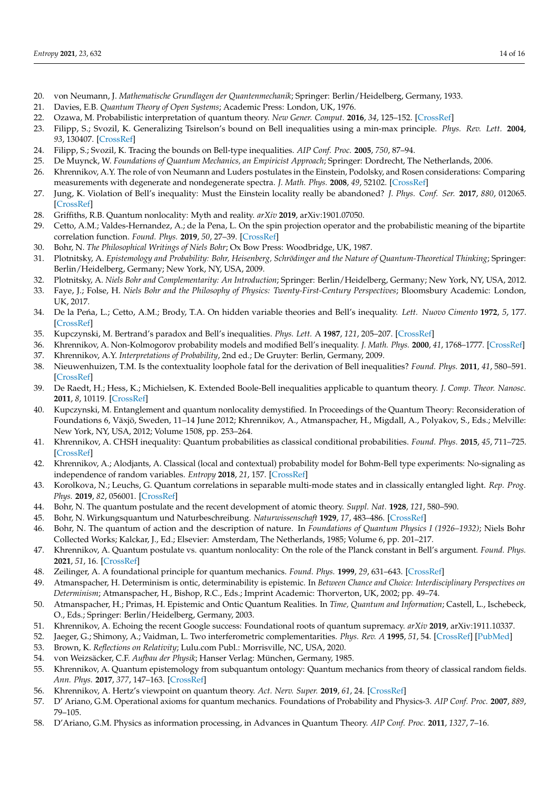- <span id="page-13-0"></span>20. von Neumann, J. *Mathematische Grundlagen der Quantenmechanik*; Springer: Berlin/Heidelberg, Germany, 1933.
- <span id="page-13-1"></span>21. Davies, E.B. *Quantum Theory of Open Systems*; Academic Press: London, UK, 1976.
- <span id="page-13-2"></span>22. Ozawa, M. Probabilistic interpretation of quantum theory. *New Gener. Comput.* **2016**, *34*, 125–152. [\[CrossRef\]](http://dx.doi.org/10.1007/s00354-016-0205-2)
- <span id="page-13-3"></span>23. Filipp, S.; Svozil, K. Generalizing Tsirelson's bound on Bell inequalities using a min-max principle. *Phys. Rev. Lett.* **2004**, *93*, 130407. [\[CrossRef\]](http://dx.doi.org/10.1103/PhysRevLett.93.130407)
- 24. Filipp, S.; Svozil, K. Tracing the bounds on Bell-type inequalities. *AIP Conf. Proc.* **2005**, *750*, 87–94.
- 25. De Muynck, W. *Foundations of Quantum Mechanics, an Empiricist Approach*; Springer: Dordrecht, The Netherlands, 2006.
- 26. Khrennikov, A.Y. The role of von Neumann and Luders postulates in the Einstein, Podolsky, and Rosen considerations: Comparing measurements with degenerate and nondegenerate spectra. *J. Math. Phys.* **2008**, *49*, 52102. [\[CrossRef\]](http://dx.doi.org/10.1063/1.2903753)
- 27. Jung, K. Violation of Bell's inequality: Must the Einstein locality really be abandoned? *J. Phys. Conf. Ser.* **2017**, *880*, 012065. [\[CrossRef\]](http://dx.doi.org/10.1088/1742-6596/880/1/012065)
- 28. Griffiths, R.B. Quantum nonlocality: Myth and reality. *arXiv* **2019**, arXiv:1901.07050.
- <span id="page-13-4"></span>29. Cetto, A.M.; Valdes-Hernandez, A.; de la Pena, L. On the spin projection operator and the probabilistic meaning of the bipartite correlation function. *Found. Phys.* **2019**, *50*, 27–39. [\[CrossRef\]](http://dx.doi.org/10.1007/s10701-019-00313-8)
- <span id="page-13-5"></span>30. Bohr, N. *The Philosophical Writings of Niels Bohr*; Ox Bow Press: Woodbridge, UK, 1987.
- <span id="page-13-6"></span>31. Plotnitsky, A. *Epistemology and Probability: Bohr, Heisenberg, Schrödinger and the Nature of Quantum-Theoretical Thinking*; Springer: Berlin/Heidelberg, Germany; New York, NY, USA, 2009.
- <span id="page-13-16"></span>32. Plotnitsky, A. *Niels Bohr and Complementarity: An Introduction*; Springer: Berlin/Heidelberg, Germany; New York, NY, USA, 2012.
- <span id="page-13-7"></span>33. Faye, J.; Folse, H. *Niels Bohr and the Philosophy of Physics: Twenty-First-Century Perspectives*; Bloomsbury Academic: London, UK, 2017.
- <span id="page-13-8"></span>34. De la Peńa, L.; Cetto, A.M.; Brody, T.A. On hidden variable theories and Bell's inequality. Lett. Nuovo Cimento 1972, 5, 177. [\[CrossRef\]](http://dx.doi.org/10.1007/BF02815921)
- 35. Kupczynski, M. Bertrand's paradox and Bell's inequalities. *Phys. Lett.* A **1987**, *121*, 205–207. [\[CrossRef\]](http://dx.doi.org/10.1016/0375-9601(87)90002-8)
- 36. Khrennikov, A. Non-Kolmogorov probability models and modified Bell's inequality. *J. Math. Phys.* **2000**, *41*, 1768–1777. [\[CrossRef\]](http://dx.doi.org/10.1063/1.533210)
- 37. Khrennikov, A.Y. *Interpretations of Probability*, 2nd ed.; De Gruyter: Berlin, Germany, 2009.
- 38. Nieuwenhuizen, T.M. Is the contextuality loophole fatal for the derivation of Bell inequalities? *Found. Phys.* **2011**, *41*, 580–591. [\[CrossRef\]](http://dx.doi.org/10.1007/s10701-010-9461-z)
- 39. De Raedt, H.; Hess, K.; Michielsen, K. Extended Boole-Bell inequalities applicable to quantum theory. *J. Comp. Theor. Nanosc.* **2011**, *8*, 10119. [\[CrossRef\]](http://dx.doi.org/10.1166/jctn.2011.1781)
- 40. Kupczynski, M. Entanglement and quantum nonlocality demystified. In Proceedings of the Quantum Theory: Reconsideration of Foundations 6, Växjö, Sweden, 11–14 June 2012; Khrennikov, A., Atmanspacher, H., Migdall, A., Polyakov, S., Eds.; Melville: New York, NY, USA, 2012; Volume 1508, pp. 253–264.
- 41. Khrennikov, A. CHSH inequality: Quantum probabilities as classical conditional probabilities. *Found. Phys.* **2015**, *45*, 711–725. [\[CrossRef\]](http://dx.doi.org/10.1007/s10701-014-9851-8)
- <span id="page-13-9"></span>42. Khrennikov, A.; Alodjants, A. Classical (local and contextual) probability model for Bohm-Bell type experiments: No-signaling as independence of random variables. *Entropy* **2018**, *21*, 157. [\[CrossRef\]](http://dx.doi.org/10.3390/e21020157)
- <span id="page-13-10"></span>43. Korolkova, N.; Leuchs, G. Quantum correlations in separable multi-mode states and in classically entangled light. *Rep. Prog. Phys.* **2019**, *82*, 056001. [\[CrossRef\]](http://dx.doi.org/10.1088/1361-6633/ab0c6b)
- <span id="page-13-11"></span>44. Bohr, N. The quantum postulate and the recent development of atomic theory. *Suppl. Nat.* **1928**, *121*, 580–590.
- <span id="page-13-14"></span>45. Bohr, N. Wirkungsquantum und Naturbeschreibung. *Naturwissenschaft* **1929**, *17*, 483–486. [\[CrossRef\]](http://dx.doi.org/10.1007/BF01505680)
- <span id="page-13-12"></span>46. Bohr, N. The quantum of action and the description of nature. In *Foundations of Quantum Physics I (1926–1932)*; Niels Bohr Collected Works; Kalckar, J., Ed.; Elsevier: Amsterdam, The Netherlands, 1985; Volume 6, pp. 201–217.
- <span id="page-13-13"></span>47. Khrennikov, A. Quantum postulate vs. quantum nonlocality: On the role of the Planck constant in Bell's argument. *Found. Phys.* **2021**, *51*, 16. [\[CrossRef\]](http://dx.doi.org/10.1007/s10701-021-00430-3)
- <span id="page-13-15"></span>48. Zeilinger, A. A foundational principle for quantum mechanics. *Found. Phys.* **1999**, *29*, 631–643. [\[CrossRef\]](http://dx.doi.org/10.1023/A:1018820410908)
- <span id="page-13-17"></span>49. Atmanspacher, H. Determinism is ontic, determinability is epistemic. In *Between Chance and Choice: Interdisciplinary Perspectives on Determinism*; Atmanspacher, H., Bishop, R.C., Eds.; Imprint Academic: Thorverton, UK, 2002; pp. 49–74.
- <span id="page-13-18"></span>50. Atmanspacher, H.; Primas, H. Epistemic and Ontic Quantum Realities. In *Time, Quantum and Information*; Castell, L., Ischebeck, O., Eds.; Springer: Berlin/Heidelberg, Germany, 2003.
- <span id="page-13-19"></span>51. Khrennikov, A. Echoing the recent Google success: Foundational roots of quantum supremacy. *arXiv* **2019**, arXiv:1911.10337.
- <span id="page-13-20"></span>52. Jaeger, G.; Shimony, A.; Vaidman, L. Two interferometric complementarities. *Phys. Rev. A* **1995**, *51*, 54. [\[CrossRef\]](http://dx.doi.org/10.1103/PhysRevA.51.54) [\[PubMed\]](http://www.ncbi.nlm.nih.gov/pubmed/9911555)
- <span id="page-13-21"></span>53. Brown, K. *Reflections on Relativity*; Lulu.com Publ.: Morrisville, NC, USA, 2020.
- <span id="page-13-22"></span>54. von Weizsäcker, C.F. *Aufbau der Physik*; Hanser Verlag: München, Germany, 1985.
- <span id="page-13-23"></span>55. Khrennikov, A. Quantum epistemology from subquantum ontology: Quantum mechanics from theory of classical random fields. *Ann. Phys.* **2017**, *377*, 147–163. [\[CrossRef\]](http://dx.doi.org/10.1016/j.aop.2016.12.005)
- <span id="page-13-24"></span>56. Khrennikov, A. Hertz's viewpoint on quantum theory. *Act. Nerv. Super.* **2019**, *61*, 24. [\[CrossRef\]](http://dx.doi.org/10.1007/s41470-019-00052-1)
- <span id="page-13-25"></span>57. D' Ariano, G.M. Operational axioms for quantum mechanics. Foundations of Probability and Physics-3. *AIP Conf. Proc.* **2007**, *889*, 79–105.
- 58. D'Ariano, G.M. Physics as information processing, in Advances in Quantum Theory. *AIP Conf. Proc.* **2011**, *1327*, 7–16.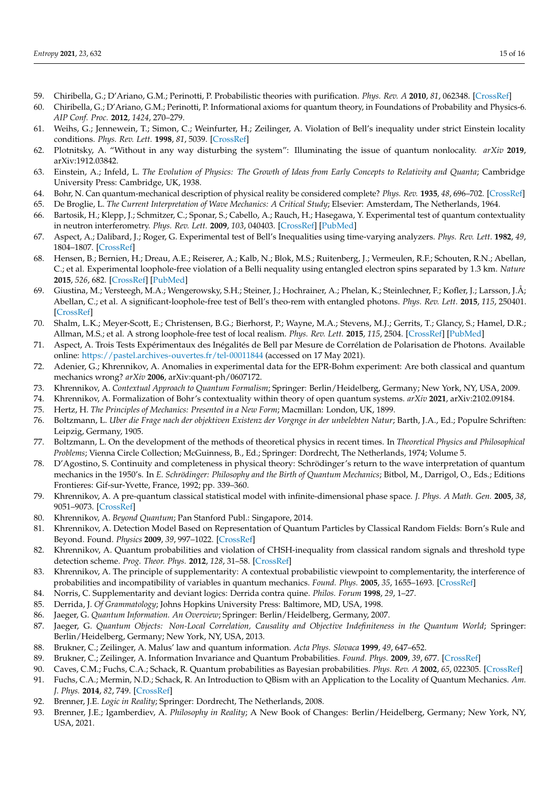- 59. Chiribella, G.; D'Ariano, G.M.; Perinotti, P. Probabilistic theories with purification. *Phys. Rev. A* **2010**, *81*, 062348. [\[CrossRef\]](http://dx.doi.org/10.1103/PhysRevA.81.062348)
- <span id="page-14-0"></span>60. Chiribella, G.; D'Ariano, G.M.; Perinotti, P. Informational axioms for quantum theory, in Foundations of Probability and Physics-6. *AIP Conf. Proc.* **2012**, *1424*, 270–279.
- <span id="page-14-1"></span>61. Weihs, G.; Jennewein, T.; Simon, C.; Weinfurter, H.; Zeilinger, A. Violation of Bell's inequality under strict Einstein locality conditions. *Phys. Rev. Lett.* **1998**, *81*, 5039. [\[CrossRef\]](http://dx.doi.org/10.1103/PhysRevLett.81.5039)
- <span id="page-14-2"></span>62. Plotnitsky, A. "Without in any way disturbing the system": Illuminating the issue of quantum nonlocality. *arXiv* **2019**, arXiv:1912.03842.
- <span id="page-14-3"></span>63. Einstein, A.; Infeld, L. *The Evolution of Physics: The Growth of Ideas from Early Concepts to Relativity and Quanta*; Cambridge University Press: Cambridge, UK, 1938.
- <span id="page-14-4"></span>64. Bohr, N. Can quantum-mechanical description of physical reality be considered complete? *Phys. Rev.* **1935**, *48*, 696–702. [\[CrossRef\]](http://dx.doi.org/10.1103/PhysRev.48.696)
- <span id="page-14-5"></span>65. De Broglie, L. *The Current Interpretation of Wave Mechanics: A Critical Study*; Elsevier: Amsterdam, The Netherlands, 1964.
- <span id="page-14-6"></span>66. Bartosik, H.; Klepp, J.; Schmitzer, C.; Sponar, S.; Cabello, A.; Rauch, H.; Hasegawa, Y. Experimental test of quantum contextuality in neutron interferometry. *Phys. Rev. Lett.* **2009**, *103*, 040403. [\[CrossRef\]](http://dx.doi.org/10.1103/PhysRevLett.103.040403) [\[PubMed\]](http://www.ncbi.nlm.nih.gov/pubmed/19659333)
- <span id="page-14-7"></span>67. Aspect, A.; Dalibard, J.; Roger, G. Experimental test of Bell's Inequalities using time-varying analyzers. *Phys. Rev. Lett.* **1982**, *49*, 1804–1807. [\[CrossRef\]](http://dx.doi.org/10.1103/PhysRevLett.49.1804)
- <span id="page-14-29"></span>68. Hensen, B.; Bernien, H.; Dreau, A.E.; Reiserer, A.; Kalb, N.; Blok, M.S.; Ruitenberg, J.; Vermeulen, R.F.; Schouten, R.N.; Abellan, C.; et al. Experimental loophole-free violation of a Belli nequality using entangled electron spins separated by 1.3 km. *Nature* **2015**, *526*, 682. [\[CrossRef\]](http://dx.doi.org/10.1038/nature15759) [\[PubMed\]](http://www.ncbi.nlm.nih.gov/pubmed/26503041)
- 69. Giustina, M.; Versteegh, M.A.; Wengerowsky, S.H.; Steiner, J.; Hochrainer, A.; Phelan, K.; Steinlechner, F.; Kofler, J.; Larsson, J.Å; Abellan, C.; et al. A significant-loophole-free test of Bell's theo-rem with entangled photons. *Phys. Rev. Lett.* **2015**, *115*, 250401. [\[CrossRef\]](http://dx.doi.org/10.1103/PhysRevLett.115.250401)
- <span id="page-14-8"></span>70. Shalm, L.K.; Meyer-Scott, E.; Christensen, B.G.; Bierhorst, P.; Wayne, M.A.; Stevens, M.J.; Gerrits, T.; Glancy, S.; Hamel, D.R.; Allman, M.S.; et al. A strong loophole-free test of local realism. *Phys. Rev. Lett.* **2015**, *115*, 2504. [\[CrossRef\]](http://dx.doi.org/10.1103/PhysRevLett.115.250402) [\[PubMed\]](http://www.ncbi.nlm.nih.gov/pubmed/26722906)
- <span id="page-14-9"></span>71. Aspect, A. Trois Tests Expérimentaux des Inégalités de Bell par Mesure de Corrélation de Polarisation de Photons. Available online: <https://pastel.archives-ouvertes.fr/tel-00011844> (accessed on 17 May 2021).
- <span id="page-14-10"></span>72. Adenier, G.; Khrennikov, A. Anomalies in experimental data for the EPR-Bohm experiment: Are both classical and quantum mechanics wrong? *arXiv* **2006**, arXiv:quant-ph/0607172.
- <span id="page-14-11"></span>73. Khrennikov, A. *Contextual Approach to Quantum Formalism*; Springer: Berlin/Heidelberg, Germany; New York, NY, USA, 2009.
- <span id="page-14-12"></span>74. Khrennikov, A. Formalization of Bohr's contextuality within theory of open quantum systems. *arXiv* **2021**, arXiv:2102.09184.
- <span id="page-14-13"></span>75. Hertz, H. *The Principles of Mechanics: Presented in a New Form*; Macmillan: London, UK, 1899.
- <span id="page-14-30"></span>76. Boltzmann, L. *Uber die Frage nach der objektiven Existenz der Vorgnge in der unbelebten Natur*; Barth, J.A., Ed.; Populre Schriften: Leipzig, Germany, 1905.
- <span id="page-14-14"></span>77. Boltzmann, L. On the development of the methods of theoretical physics in recent times. In *Theoretical Physics and Philosophical Problems*; Vienna Circle Collection; McGuinness, B., Ed.; Springer: Dordrecht, The Netherlands, 1974; Volume 5.
- <span id="page-14-15"></span>78. D'Agostino, S. Continuity and completeness in physical theory: Schrödinger's return to the wave interpretation of quantum mechanics in the 1950's. In *E. Schrödinger: Philosophy and the Birth of Quantum Mechanics*; Bitbol, M., Darrigol, O., Eds.; Editions Frontieres: Gif-sur-Yvette, France, 1992; pp. 339–360.
- <span id="page-14-16"></span>79. Khrennikov, A. A pre-quantum classical statistical model with infinite-dimensional phase space. *J. Phys. A Math. Gen.* **2005**, *38*, 9051–9073. [\[CrossRef\]](http://dx.doi.org/10.1088/0305-4470/38/41/015)
- <span id="page-14-32"></span>80. Khrennikov, A. *Beyond Quantum*; Pan Stanford Publ.: Singapore, 2014.
- <span id="page-14-31"></span>81. Khrennikov, A. Detection Model Based on Representation of Quantum Particles by Classical Random Fields: Born's Rule and Beyond. Found. *Physics* **2009**, *39*, 997–1022. [\[CrossRef\]](http://dx.doi.org/10.1007/s10701-009-9312-y)
- <span id="page-14-17"></span>82. Khrennikov, A. Quantum probabilities and violation of CHSH-inequality from classical random signals and threshold type detection scheme. *Prog. Theor. Phys.* **2012**, *128*, 31–58. [\[CrossRef\]](http://dx.doi.org/10.1143/PTP.128.31)
- <span id="page-14-18"></span>83. Khrennikov, A. The principle of supplementarity: A contextual probabilistic viewpoint to complementarity, the interference of probabilities and incompatibility of variables in quantum mechanics. *Found. Phys.* **2005**, *35*, 1655–1693. [\[CrossRef\]](http://dx.doi.org/10.1007/s10701-005-6511-z)
- <span id="page-14-19"></span>84. Norris, C. Supplementarity and deviant logics: Derrida contra quine. *Philos. Forum* **1998**, *29*, 1–27.
- <span id="page-14-20"></span>85. Derrida, J. *Of Grammatology*; Johns Hopkins University Press: Baltimore, MD, USA, 1998.
- <span id="page-14-21"></span>86. Jaeger, G. *Quantum Information. An Overview*; Springer: Berlin/Heidelberg, Germany, 2007.
- <span id="page-14-22"></span>87. Jaeger, G. Quantum Objects: Non-Local Correlation, Causality and Objective Indefiniteness in the Quantum World; Springer: Berlin/Heidelberg, Germany; New York, NY, USA, 2013.
- <span id="page-14-23"></span>88. Brukner, C.; Zeilinger, A. Malus' law and quantum information. *Acta Phys. Slovaca* **1999**, *49*, 647–652.
- <span id="page-14-24"></span>89. Brukner, C.; Zeilinger, A. Information Invariance and Quantum Probabilities. *Found. Phys.* **2009**, *39*, 677. [\[CrossRef\]](http://dx.doi.org/10.1007/s10701-009-9316-7)
- <span id="page-14-25"></span>90. Caves, C.M.; Fuchs, C.A.; Schack, R. Quantum probabilities as Bayesian probabilities. *Phys. Rev. A* **2002**, *65*, 022305. [\[CrossRef\]](http://dx.doi.org/10.1103/PhysRevA.65.022305)
- <span id="page-14-26"></span>91. Fuchs, C.A.; Mermin, N.D.; Schack, R. An Introduction to QBism with an Application to the Locality of Quantum Mechanics. *Am. J. Phys.* **2014**, *82*, 749. [\[CrossRef\]](http://dx.doi.org/10.1119/1.4874855)
- <span id="page-14-27"></span>92. Brenner, J.E. *Logic in Reality*; Springer: Dordrecht, The Netherlands, 2008.
- <span id="page-14-28"></span>93. Brenner, J.E.; Igamberdiev, A. *Philosophy in Reality*; A New Book of Changes: Berlin/Heidelberg, Germany; New York, NY, USA, 2021.